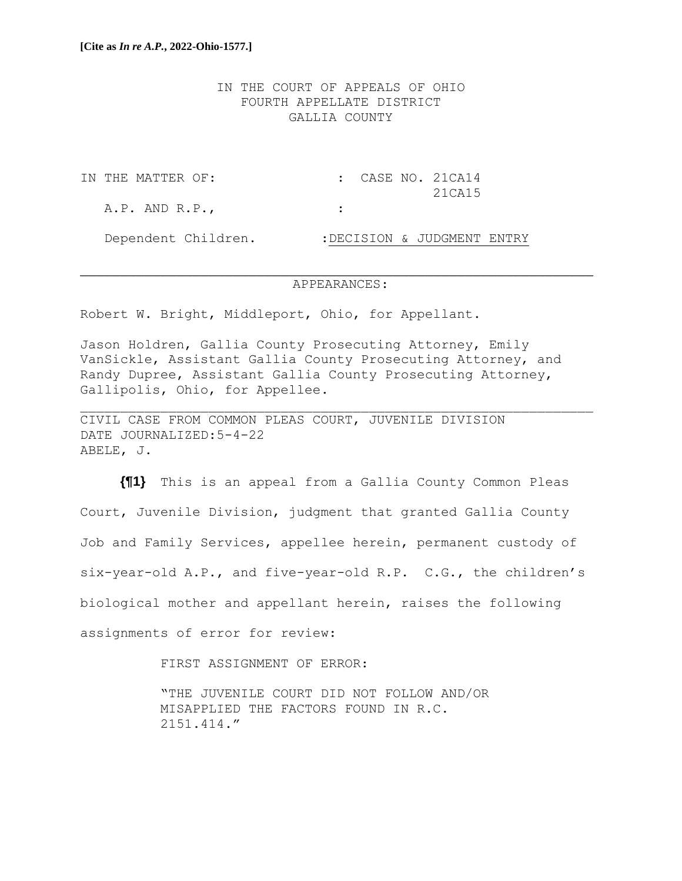IN THE COURT OF APPEALS OF OHIO FOURTH APPELLATE DISTRICT GALLIA COUNTY

IN THE MATTER OF:  $\qquad \qquad : \qquad \text{CASE NO. 21CA14}$  21CA15 A.P. AND R.P., : Dependent Children. : DECISION & JUDGMENT ENTRY

### APPEARANCES:

Robert W. Bright, Middleport, Ohio, for Appellant.

Jason Holdren, Gallia County Prosecuting Attorney, Emily VanSickle, Assistant Gallia County Prosecuting Attorney, and Randy Dupree, Assistant Gallia County Prosecuting Attorney, Gallipolis, Ohio, for Appellee.

CIVIL CASE FROM COMMON PLEAS COURT, JUVENILE DIVISION DATE JOURNALIZED:5-4-22 ABELE, J.

**{¶1}** This is an appeal from a Gallia County Common Pleas Court, Juvenile Division, judgment that granted Gallia County Job and Family Services, appellee herein, permanent custody of six-year-old A.P., and five-year-old R.P. C.G., the children's biological mother and appellant herein, raises the following assignments of error for review:

FIRST ASSIGNMENT OF ERROR:

"THE JUVENILE COURT DID NOT FOLLOW AND/OR MISAPPLIED THE FACTORS FOUND IN R.C. 2151.414."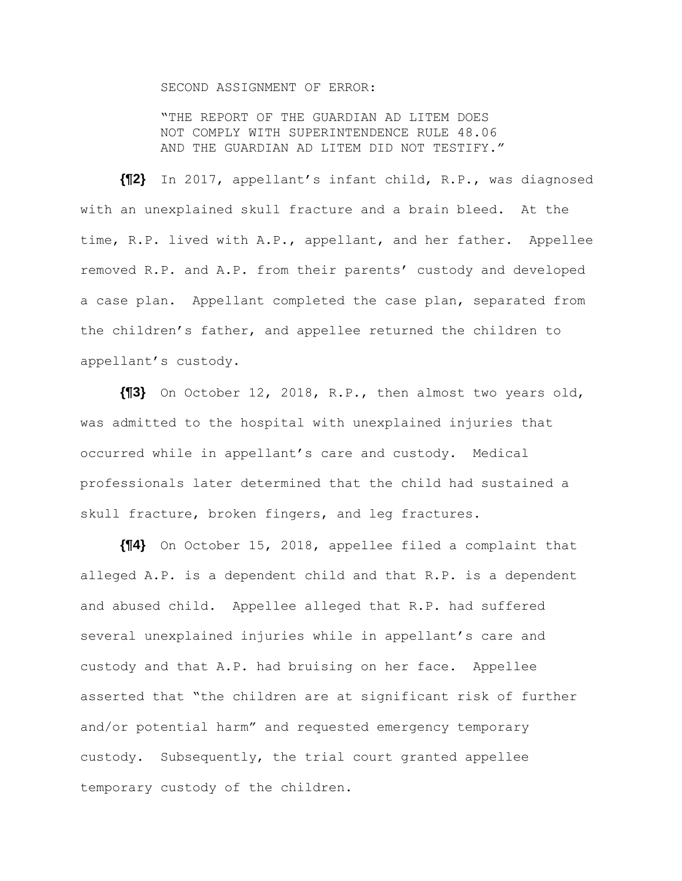SECOND ASSIGNMENT OF ERROR:

"THE REPORT OF THE GUARDIAN AD LITEM DOES NOT COMPLY WITH SUPERINTENDENCE RULE 48.06 AND THE GUARDIAN AD LITEM DID NOT TESTIFY."

**{¶2}** In 2017, appellant's infant child, R.P., was diagnosed with an unexplained skull fracture and a brain bleed. At the time, R.P. lived with A.P., appellant, and her father. Appellee removed R.P. and A.P. from their parents' custody and developed a case plan. Appellant completed the case plan, separated from the children's father, and appellee returned the children to appellant's custody.

**{¶3}** On October 12, 2018, R.P., then almost two years old, was admitted to the hospital with unexplained injuries that occurred while in appellant's care and custody. Medical professionals later determined that the child had sustained a skull fracture, broken fingers, and leg fractures.

**{¶4}** On October 15, 2018, appellee filed a complaint that alleged A.P. is a dependent child and that R.P. is a dependent and abused child. Appellee alleged that R.P. had suffered several unexplained injuries while in appellant's care and custody and that A.P. had bruising on her face. Appellee asserted that "the children are at significant risk of further and/or potential harm" and requested emergency temporary custody. Subsequently, the trial court granted appellee temporary custody of the children.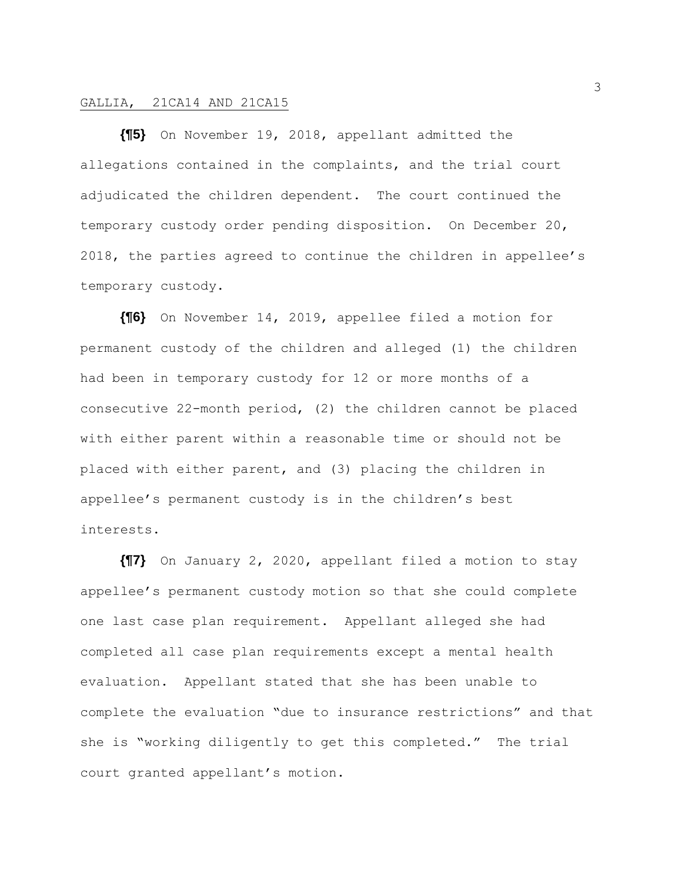**{¶5}** On November 19, 2018, appellant admitted the allegations contained in the complaints, and the trial court adjudicated the children dependent. The court continued the temporary custody order pending disposition. On December 20, 2018, the parties agreed to continue the children in appellee's temporary custody.

**{¶6}** On November 14, 2019, appellee filed a motion for permanent custody of the children and alleged (1) the children had been in temporary custody for 12 or more months of a consecutive 22-month period, (2) the children cannot be placed with either parent within a reasonable time or should not be placed with either parent, and (3) placing the children in appellee's permanent custody is in the children's best interests.

**{¶7}** On January 2, 2020, appellant filed a motion to stay appellee's permanent custody motion so that she could complete one last case plan requirement. Appellant alleged she had completed all case plan requirements except a mental health evaluation. Appellant stated that she has been unable to complete the evaluation "due to insurance restrictions" and that she is "working diligently to get this completed." The trial court granted appellant's motion.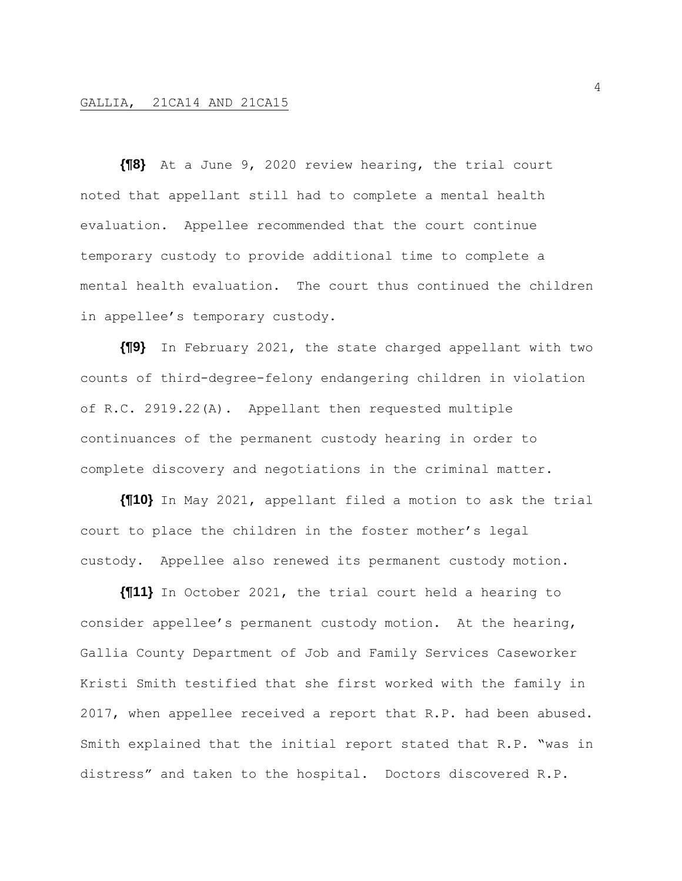**{¶8}** At a June 9, 2020 review hearing, the trial court noted that appellant still had to complete a mental health evaluation. Appellee recommended that the court continue temporary custody to provide additional time to complete a mental health evaluation. The court thus continued the children in appellee's temporary custody.

**{¶9}** In February 2021, the state charged appellant with two counts of third-degree-felony endangering children in violation of R.C. 2919.22(A). Appellant then requested multiple continuances of the permanent custody hearing in order to complete discovery and negotiations in the criminal matter.

**{¶10}** In May 2021, appellant filed a motion to ask the trial court to place the children in the foster mother's legal custody. Appellee also renewed its permanent custody motion.

**{¶11}** In October 2021, the trial court held a hearing to consider appellee's permanent custody motion. At the hearing, Gallia County Department of Job and Family Services Caseworker Kristi Smith testified that she first worked with the family in 2017, when appellee received a report that R.P. had been abused. Smith explained that the initial report stated that R.P. "was in distress" and taken to the hospital. Doctors discovered R.P.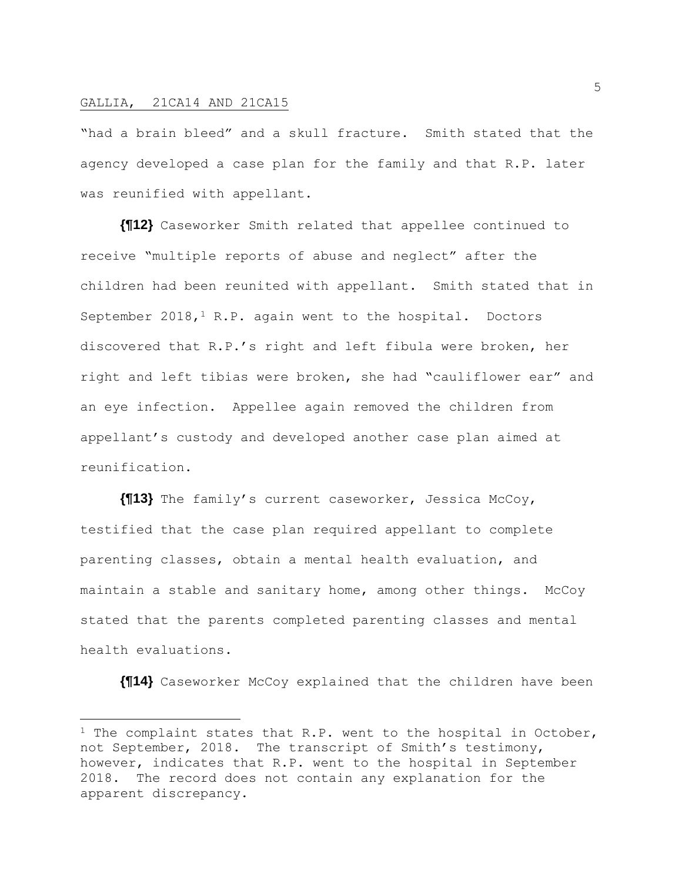"had a brain bleed" and a skull fracture. Smith stated that the agency developed a case plan for the family and that R.P. later was reunified with appellant.

**{¶12}** Caseworker Smith related that appellee continued to receive "multiple reports of abuse and neglect" after the children had been reunited with appellant. Smith stated that in September 2018,<sup>1</sup> R.P. again went to the hospital. Doctors discovered that R.P.'s right and left fibula were broken, her right and left tibias were broken, she had "cauliflower ear" and an eye infection. Appellee again removed the children from appellant's custody and developed another case plan aimed at reunification.

**{¶13}** The family's current caseworker, Jessica McCoy, testified that the case plan required appellant to complete parenting classes, obtain a mental health evaluation, and maintain a stable and sanitary home, among other things. McCoy stated that the parents completed parenting classes and mental health evaluations.

**{¶14}** Caseworker McCoy explained that the children have been

<sup>&</sup>lt;sup>1</sup> The complaint states that R.P. went to the hospital in October, not September, 2018. The transcript of Smith's testimony, however, indicates that R.P. went to the hospital in September 2018. The record does not contain any explanation for the apparent discrepancy.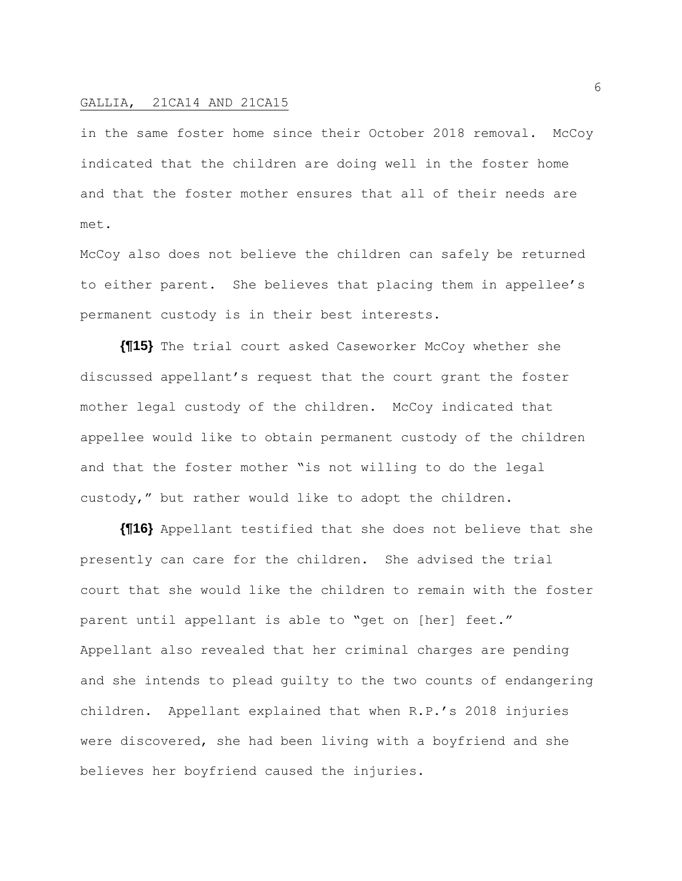in the same foster home since their October 2018 removal. McCoy indicated that the children are doing well in the foster home and that the foster mother ensures that all of their needs are met.

McCoy also does not believe the children can safely be returned to either parent. She believes that placing them in appellee's permanent custody is in their best interests.

**{¶15}** The trial court asked Caseworker McCoy whether she discussed appellant's request that the court grant the foster mother legal custody of the children. McCoy indicated that appellee would like to obtain permanent custody of the children and that the foster mother "is not willing to do the legal custody," but rather would like to adopt the children.

**{¶16}** Appellant testified that she does not believe that she presently can care for the children. She advised the trial court that she would like the children to remain with the foster parent until appellant is able to "get on [her] feet." Appellant also revealed that her criminal charges are pending and she intends to plead guilty to the two counts of endangering children. Appellant explained that when R.P.'s 2018 injuries were discovered, she had been living with a boyfriend and she believes her boyfriend caused the injuries.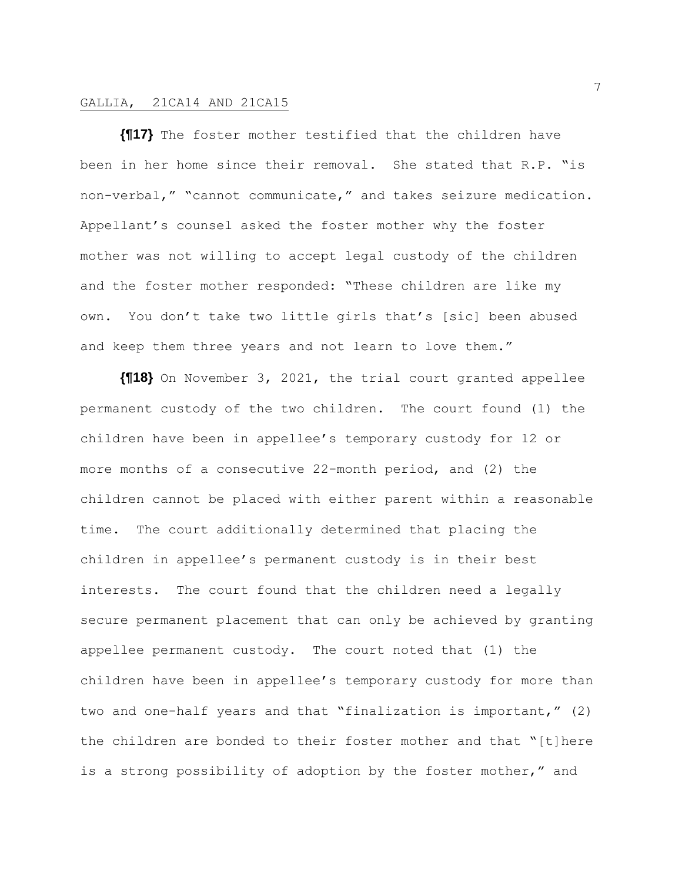**{¶17}** The foster mother testified that the children have been in her home since their removal. She stated that R.P. "is non-verbal," "cannot communicate," and takes seizure medication. Appellant's counsel asked the foster mother why the foster mother was not willing to accept legal custody of the children and the foster mother responded: "These children are like my own. You don't take two little girls that's [sic] been abused and keep them three years and not learn to love them."

**{¶18}** On November 3, 2021, the trial court granted appellee permanent custody of the two children. The court found (1) the children have been in appellee's temporary custody for 12 or more months of a consecutive 22-month period, and (2) the children cannot be placed with either parent within a reasonable time. The court additionally determined that placing the children in appellee's permanent custody is in their best interests. The court found that the children need a legally secure permanent placement that can only be achieved by granting appellee permanent custody. The court noted that (1) the children have been in appellee's temporary custody for more than two and one-half years and that "finalization is important," (2) the children are bonded to their foster mother and that "[t]here is a strong possibility of adoption by the foster mother," and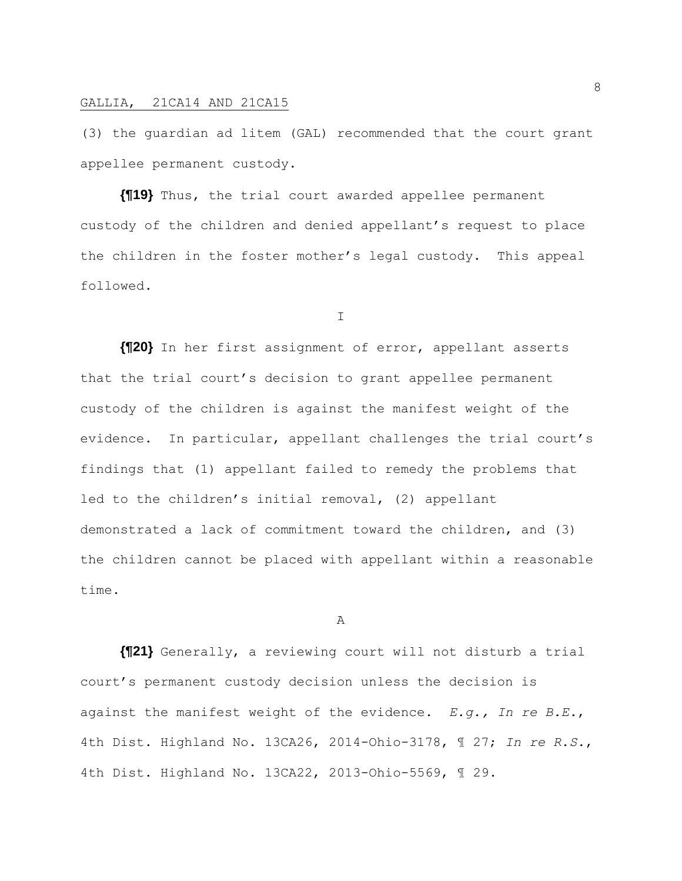(3) the guardian ad litem (GAL) recommended that the court grant appellee permanent custody.

**{¶19}** Thus, the trial court awarded appellee permanent custody of the children and denied appellant's request to place the children in the foster mother's legal custody. This appeal followed.

I

**{¶20}** In her first assignment of error, appellant asserts that the trial court's decision to grant appellee permanent custody of the children is against the manifest weight of the evidence. In particular, appellant challenges the trial court's findings that (1) appellant failed to remedy the problems that led to the children's initial removal, (2) appellant demonstrated a lack of commitment toward the children, and (3) the children cannot be placed with appellant within a reasonable time.

A

**{¶21}** Generally, a reviewing court will not disturb a trial court's permanent custody decision unless the decision is against the manifest weight of the evidence. *E.g., In re B.E.*, 4th Dist. Highland No. 13CA26, 2014-Ohio-3178, ¶ 27; *In re R.S.*, 4th Dist. Highland No. 13CA22, 2013-Ohio-5569, ¶ 29.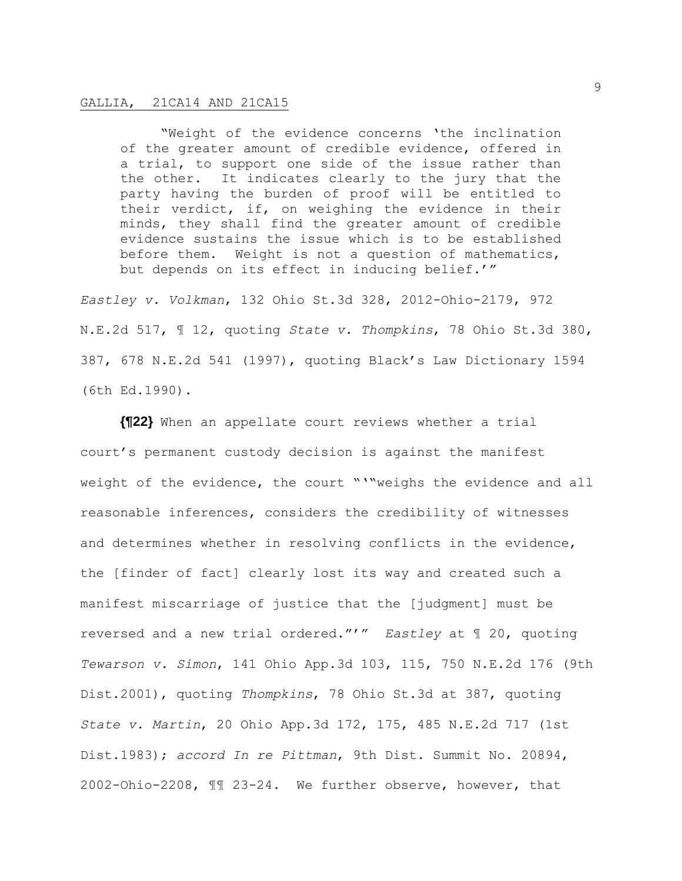"Weight of the evidence concerns 'the inclination of the greater amount of credible evidence, offered in a trial, to support one side of the issue rather than the other. It indicates clearly to the jury that the party having the burden of proof will be entitled to their verdict, if, on weighing the evidence in their minds, they shall find the greater amount of credible evidence sustains the issue which is to be established before them. Weight is not a question of mathematics, but depends on its effect in inducing belief.'"

*Eastley v. Volkman*, 132 Ohio St.3d 328, 2012-Ohio-2179, 972 N.E.2d 517, ¶ 12, quoting *State v. Thompkins*, 78 Ohio St.3d 380, 387, 678 N.E.2d 541 (1997), quoting Black's Law Dictionary 1594 (6th Ed.1990).

**{¶22}** When an appellate court reviews whether a trial court's permanent custody decision is against the manifest weight of the evidence, the court "'"weighs the evidence and all reasonable inferences, considers the credibility of witnesses and determines whether in resolving conflicts in the evidence, the [finder of fact] clearly lost its way and created such a manifest miscarriage of justice that the [judgment] must be reversed and a new trial ordered."'" *Eastley* at ¶ 20, quoting *Tewarson v. Simon*, 141 Ohio App.3d 103, 115, 750 N.E.2d 176 (9th Dist.2001), quoting *Thompkins*, 78 Ohio St.3d at 387, quoting *State v. Martin*, 20 Ohio App.3d 172, 175, 485 N.E.2d 717 (1st Dist.1983); *accord In re Pittman*, 9th Dist. Summit No. 20894, 2002-Ohio-2208, ¶¶ 23-24. We further observe, however, that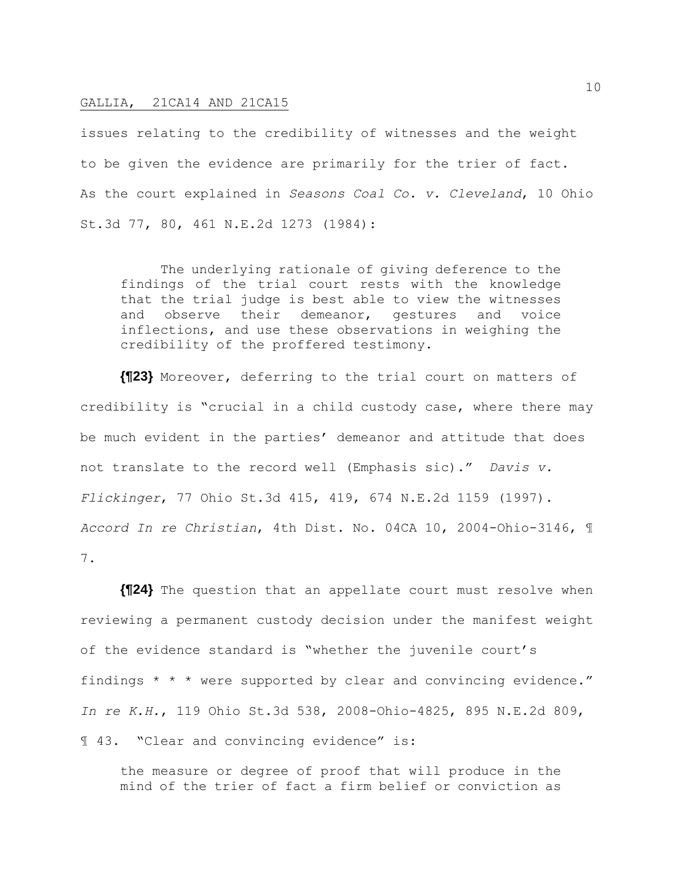issues relating to the credibility of witnesses and the weight to be given the evidence are primarily for the trier of fact. As the court explained in *Seasons Coal Co. v. Cleveland*, 10 Ohio St.3d 77, 80, 461 N.E.2d 1273 (1984):

The underlying rationale of giving deference to the findings of the trial court rests with the knowledge that the trial judge is best able to view the witnesses and observe their demeanor, gestures and voice inflections, and use these observations in weighing the credibility of the proffered testimony.

**{¶23}** Moreover, deferring to the trial court on matters of credibility is "crucial in a child custody case, where there may be much evident in the parties' demeanor and attitude that does not translate to the record well (Emphasis sic)." *Davis v. Flickinger*, 77 Ohio St.3d 415, 419, 674 N.E.2d 1159 (1997). *Accord In re Christian*, 4th Dist. No. 04CA 10, 2004-Ohio-3146, ¶ 7.

**{¶24}** The question that an appellate court must resolve when reviewing a permanent custody decision under the manifest weight of the evidence standard is "whether the juvenile court's findings \* \* \* were supported by clear and convincing evidence." *In re K.H.*, 119 Ohio St.3d 538, 2008-Ohio-4825, 895 N.E.2d 809, ¶ 43. "Clear and convincing evidence" is:

the measure or degree of proof that will produce in the mind of the trier of fact a firm belief or conviction as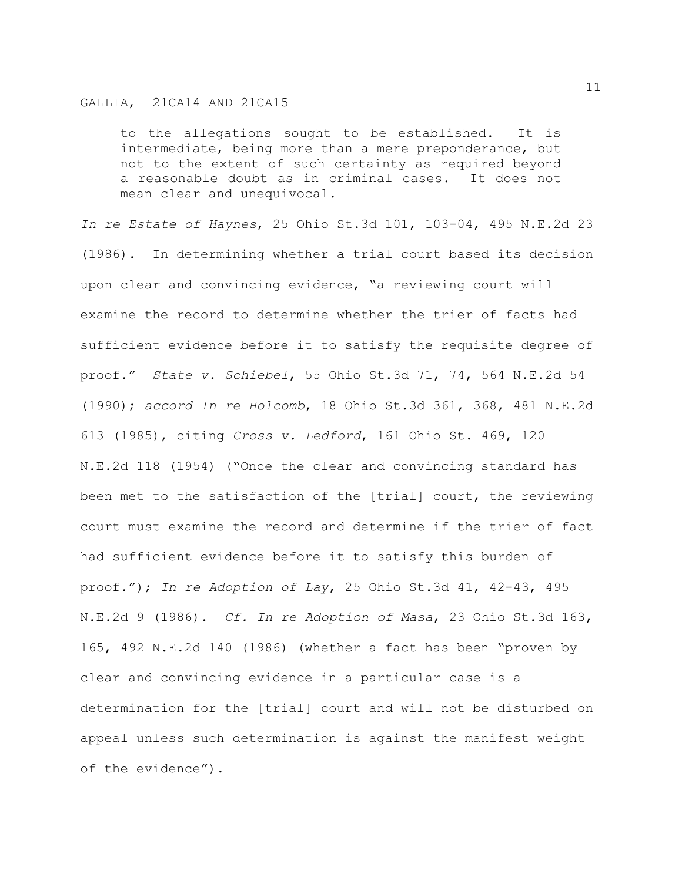to the allegations sought to be established. It is intermediate, being more than a mere preponderance, but not to the extent of such certainty as required beyond a reasonable doubt as in criminal cases. It does not mean clear and unequivocal.

*In re Estate of Haynes*, 25 Ohio St.3d 101, 103-04, 495 N.E.2d 23 (1986). In determining whether a trial court based its decision upon clear and convincing evidence, "a reviewing court will examine the record to determine whether the trier of facts had sufficient evidence before it to satisfy the requisite degree of proof." *State v. Schiebel*, 55 Ohio St.3d 71, 74, 564 N.E.2d 54 (1990); *accord In re Holcomb*, 18 Ohio St.3d 361, 368, 481 N.E.2d 613 (1985), citing *Cross v. Ledford*, 161 Ohio St. 469, 120 N.E.2d 118 (1954) ("Once the clear and convincing standard has been met to the satisfaction of the [trial] court, the reviewing court must examine the record and determine if the trier of fact had sufficient evidence before it to satisfy this burden of proof."); *In re Adoption of Lay*, 25 Ohio St.3d 41, 42-43, 495 N.E.2d 9 (1986). *Cf. In re Adoption of Masa*, 23 Ohio St.3d 163, 165, 492 N.E.2d 140 (1986) (whether a fact has been "proven by clear and convincing evidence in a particular case is a determination for the [trial] court and will not be disturbed on appeal unless such determination is against the manifest weight of the evidence").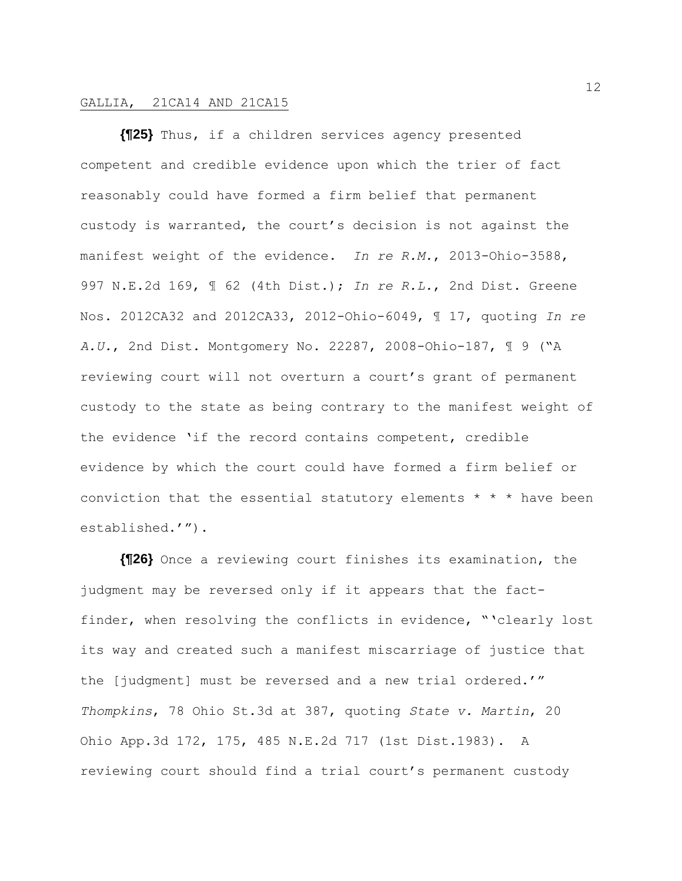**{¶25}** Thus, if a children services agency presented competent and credible evidence upon which the trier of fact reasonably could have formed a firm belief that permanent custody is warranted, the court's decision is not against the manifest weight of the evidence. *In re R.M.*, 2013-Ohio-3588, 997 N.E.2d 169, ¶ 62 (4th Dist.); *In re R.L.*, 2nd Dist. Greene Nos. 2012CA32 and 2012CA33, 2012-Ohio-6049, ¶ 17, quoting *In re A.U.*, 2nd Dist. Montgomery No. 22287, 2008-Ohio-187, ¶ 9 ("A reviewing court will not overturn a court's grant of permanent custody to the state as being contrary to the manifest weight of the evidence 'if the record contains competent, credible evidence by which the court could have formed a firm belief or conviction that the essential statutory elements \* \* \* have been established.'").

**{¶26}** Once a reviewing court finishes its examination, the judgment may be reversed only if it appears that the factfinder, when resolving the conflicts in evidence, "'clearly lost its way and created such a manifest miscarriage of justice that the [judgment] must be reversed and a new trial ordered.'" *Thompkins*, 78 Ohio St.3d at 387, quoting *State v. Martin*, 20 Ohio App.3d 172, 175, 485 N.E.2d 717 (1st Dist.1983). A reviewing court should find a trial court's permanent custody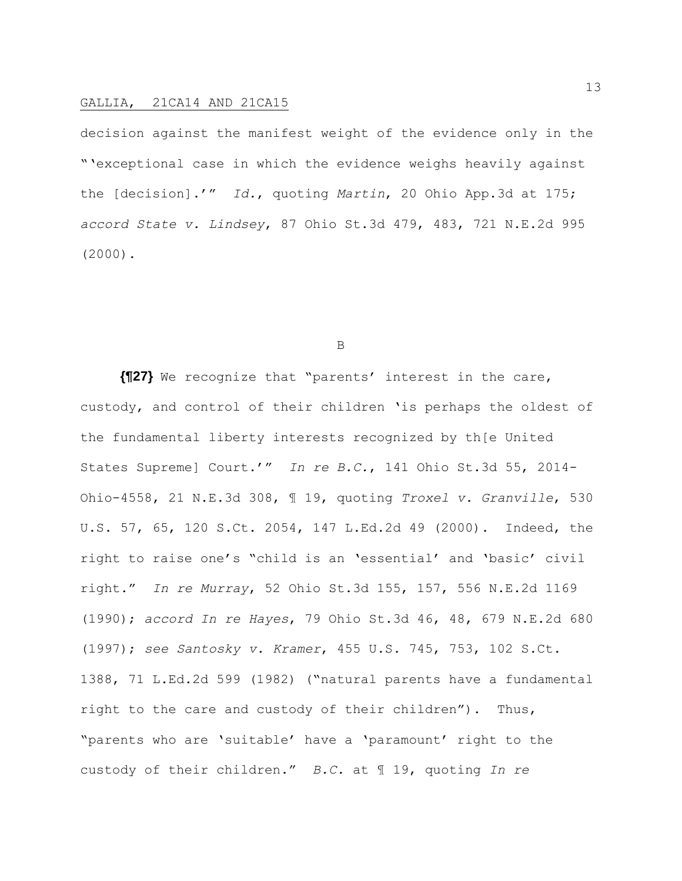decision against the manifest weight of the evidence only in the "'exceptional case in which the evidence weighs heavily against the [decision].'" *Id.*, quoting *Martin*, 20 Ohio App.3d at 175; *accord State v. Lindsey*, 87 Ohio St.3d 479, 483, 721 N.E.2d 995 (2000).

B

**{¶27}** We recognize that "parents' interest in the care, custody, and control of their children 'is perhaps the oldest of the fundamental liberty interests recognized by th[e United States Supreme] Court.'" *In re B.C.*, 141 Ohio St.3d 55, 2014- Ohio-4558, 21 N.E.3d 308, ¶ 19, quoting *Troxel v. Granville*, 530 U.S. 57, 65, 120 S.Ct. 2054, 147 L.Ed.2d 49 (2000). Indeed, the right to raise one's "child is an 'essential' and 'basic' civil right." *In re Murray*, 52 Ohio St.3d 155, 157, 556 N.E.2d 1169 (1990); *accord In re Hayes*, 79 Ohio St.3d 46, 48, 679 N.E.2d 680 (1997); *see Santosky v. Kramer*, 455 U.S. 745, 753, 102 S.Ct. 1388, 71 L.Ed.2d 599 (1982) ("natural parents have a fundamental right to the care and custody of their children"). Thus, "parents who are 'suitable' have a 'paramount' right to the custody of their children." *B.C.* at ¶ 19, quoting *In re*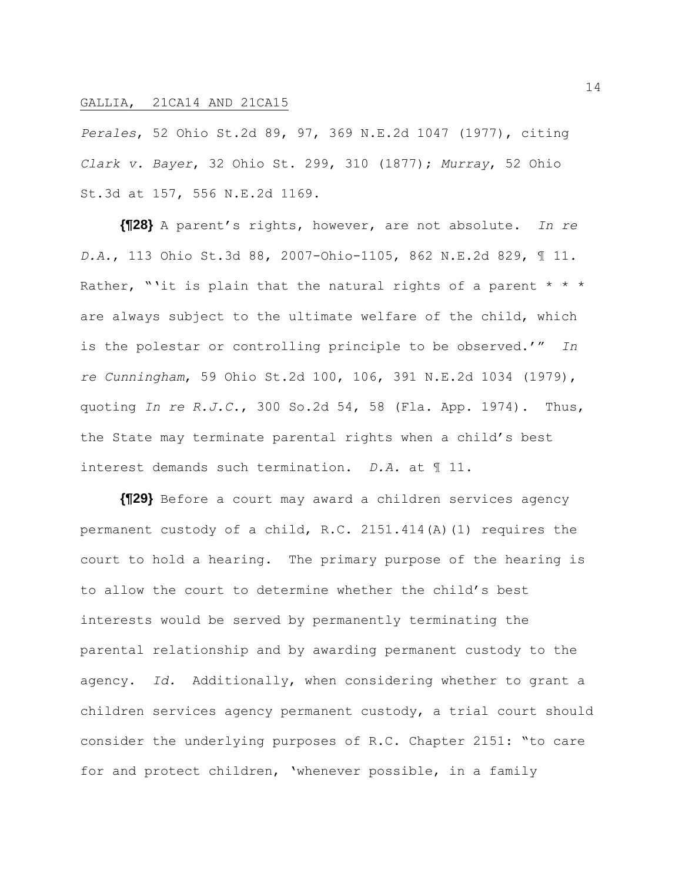*Perales*, 52 Ohio St.2d 89, 97, 369 N.E.2d 1047 (1977), citing *Clark v. Bayer*, 32 Ohio St. 299, 310 (1877); *Murray*, 52 Ohio St.3d at 157, 556 N.E.2d 1169.

**{¶28}** A parent's rights, however, are not absolute. *In re D.A.*, 113 Ohio St.3d 88, 2007-Ohio-1105, 862 N.E.2d 829, ¶ 11. Rather, "'it is plain that the natural rights of a parent  $* * *$ are always subject to the ultimate welfare of the child, which is the polestar or controlling principle to be observed.'" *In re Cunningham*, 59 Ohio St.2d 100, 106, 391 N.E.2d 1034 (1979), quoting *In re R.J.C.*, 300 So.2d 54, 58 (Fla. App. 1974). Thus, the State may terminate parental rights when a child's best interest demands such termination. *D.A.* at ¶ 11.

**{¶29}** Before a court may award a children services agency permanent custody of a child, R.C. 2151.414(A)(1) requires the court to hold a hearing. The primary purpose of the hearing is to allow the court to determine whether the child's best interests would be served by permanently terminating the parental relationship and by awarding permanent custody to the agency. *Id.* Additionally, when considering whether to grant a children services agency permanent custody, a trial court should consider the underlying purposes of R.C. Chapter 2151: "to care for and protect children, 'whenever possible, in a family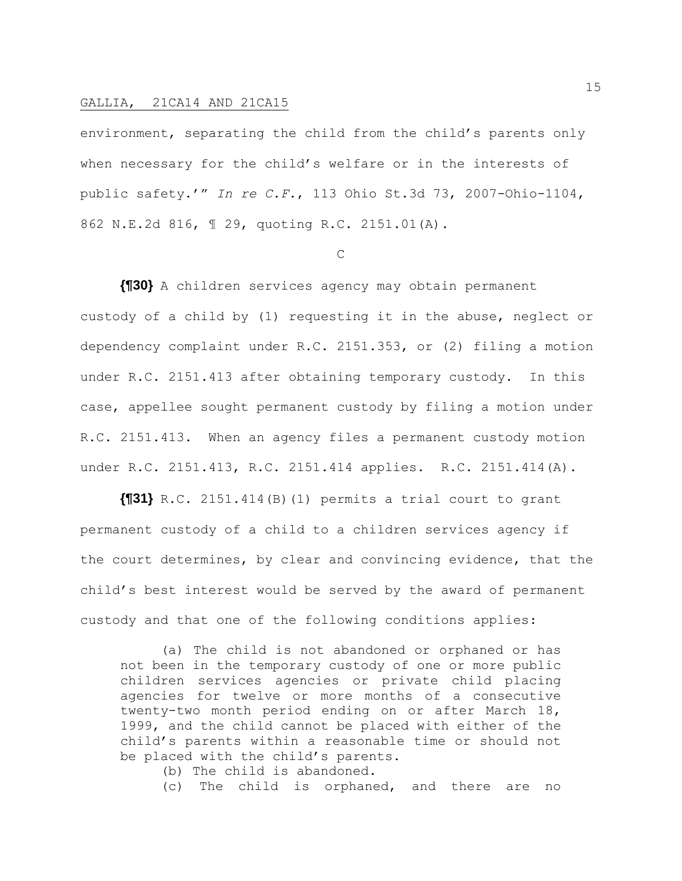environment, separating the child from the child's parents only when necessary for the child's welfare or in the interests of public safety.'" *In re C.F.*, 113 Ohio St.3d 73, 2007-Ohio-1104, 862 N.E.2d 816, ¶ 29, quoting R.C. 2151.01(A).

 $\mathcal{C}$ 

**{¶30}** A children services agency may obtain permanent custody of a child by (1) requesting it in the abuse, neglect or dependency complaint under R.C. 2151.353, or (2) filing a motion under R.C. 2151.413 after obtaining temporary custody. In this case, appellee sought permanent custody by filing a motion under R.C. 2151.413. When an agency files a permanent custody motion under R.C. 2151.413, R.C. 2151.414 applies. R.C. 2151.414(A).

**{¶31}** R.C. 2151.414(B)(1) permits a trial court to grant permanent custody of a child to a children services agency if the court determines, by clear and convincing evidence, that the child's best interest would be served by the award of permanent custody and that one of the following conditions applies:

(a) The child is not abandoned or orphaned or has not been in the temporary custody of one or more public children services agencies or private child placing agencies for twelve or more months of a consecutive twenty-two month period ending on or after March 18, 1999, and the child cannot be placed with either of the child's parents within a reasonable time or should not be placed with the child's parents.

(b) The child is abandoned.

(c) The child is orphaned, and there are no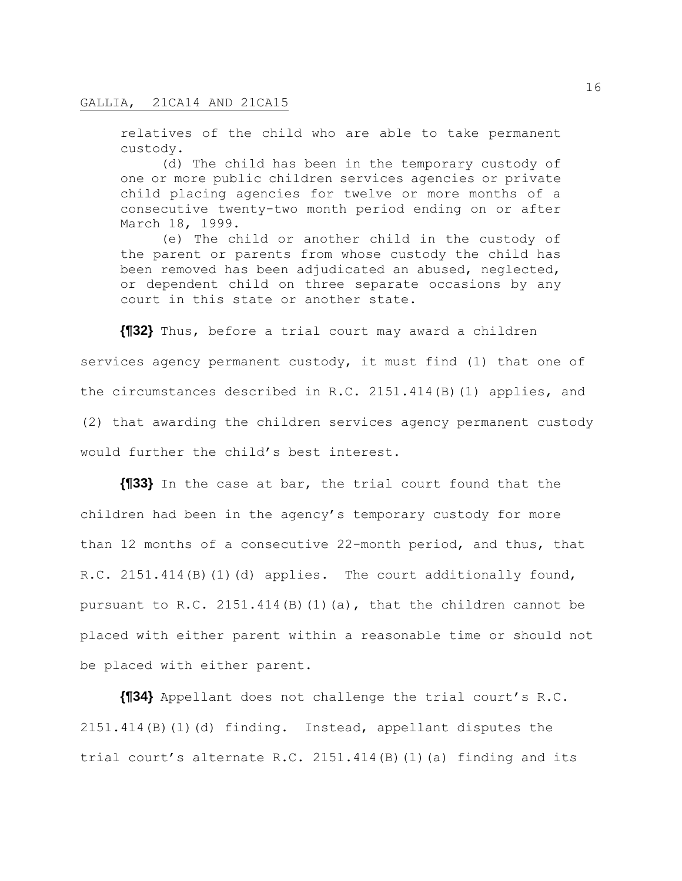relatives of the child who are able to take permanent custody.

(d) The child has been in the temporary custody of one or more public children services agencies or private child placing agencies for twelve or more months of a consecutive twenty-two month period ending on or after March 18, 1999.

(e) The child or another child in the custody of the parent or parents from whose custody the child has been removed has been adjudicated an abused, neglected, or dependent child on three separate occasions by any court in this state or another state.

**{¶32}** Thus, before a trial court may award a children

services agency permanent custody, it must find (1) that one of the circumstances described in R.C. 2151.414(B)(1) applies, and (2) that awarding the children services agency permanent custody would further the child's best interest.

**{¶33}** In the case at bar, the trial court found that the children had been in the agency's temporary custody for more than 12 months of a consecutive 22-month period, and thus, that R.C. 2151.414(B)(1)(d) applies. The court additionally found, pursuant to R.C. 2151.414(B)(1)(a), that the children cannot be placed with either parent within a reasonable time or should not be placed with either parent.

**{¶34}** Appellant does not challenge the trial court's R.C. 2151.414(B)(1)(d) finding. Instead, appellant disputes the trial court's alternate R.C. 2151.414(B)(1)(a) finding and its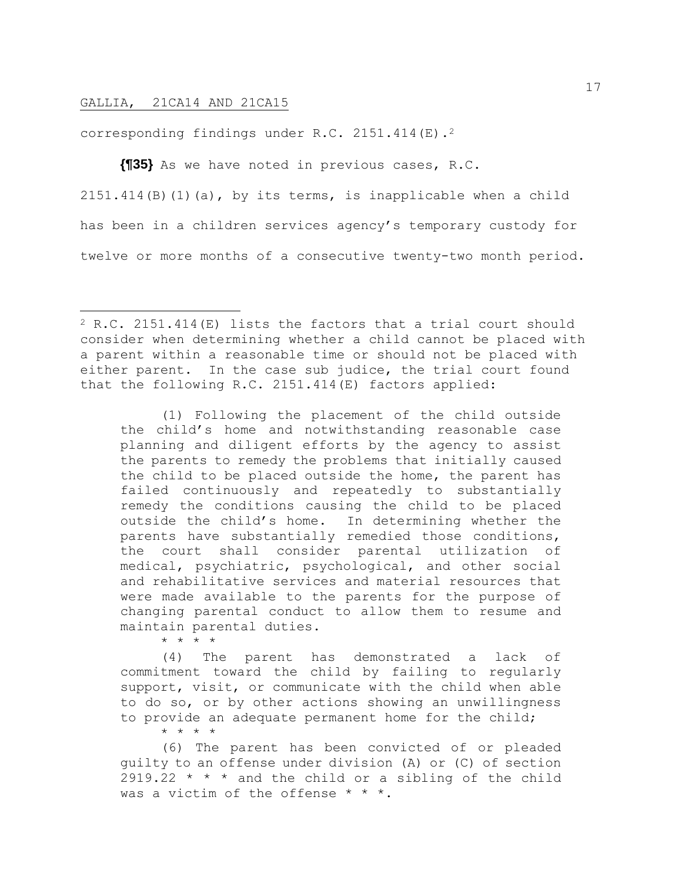corresponding findings under R.C. 2151.414(E).<sup>2</sup>

**{¶35}** As we have noted in previous cases, R.C. 2151.414(B)(1)(a), by its terms, is inapplicable when a child has been in a children services agency's temporary custody for twelve or more months of a consecutive twenty-two month period.

(1) Following the placement of the child outside the child's home and notwithstanding reasonable case planning and diligent efforts by the agency to assist the parents to remedy the problems that initially caused the child to be placed outside the home, the parent has failed continuously and repeatedly to substantially remedy the conditions causing the child to be placed outside the child's home. In determining whether the parents have substantially remedied those conditions, the court shall consider parental utilization of medical, psychiatric, psychological, and other social and rehabilitative services and material resources that were made available to the parents for the purpose of changing parental conduct to allow them to resume and maintain parental duties.

\* \* \* \*

(4) The parent has demonstrated a lack of commitment toward the child by failing to regularly support, visit, or communicate with the child when able to do so, or by other actions showing an unwillingness to provide an adequate permanent home for the child;

\* \* \* \*

(6) The parent has been convicted of or pleaded guilty to an offense under division (A) or (C) of section 2919.22  $*$   $*$   $*$  and the child or a sibling of the child was a victim of the offense  $* * *$ .

<sup>2</sup> R.C. 2151.414(E) lists the factors that a trial court should consider when determining whether a child cannot be placed with a parent within a reasonable time or should not be placed with either parent. In the case sub judice, the trial court found that the following R.C. 2151.414(E) factors applied: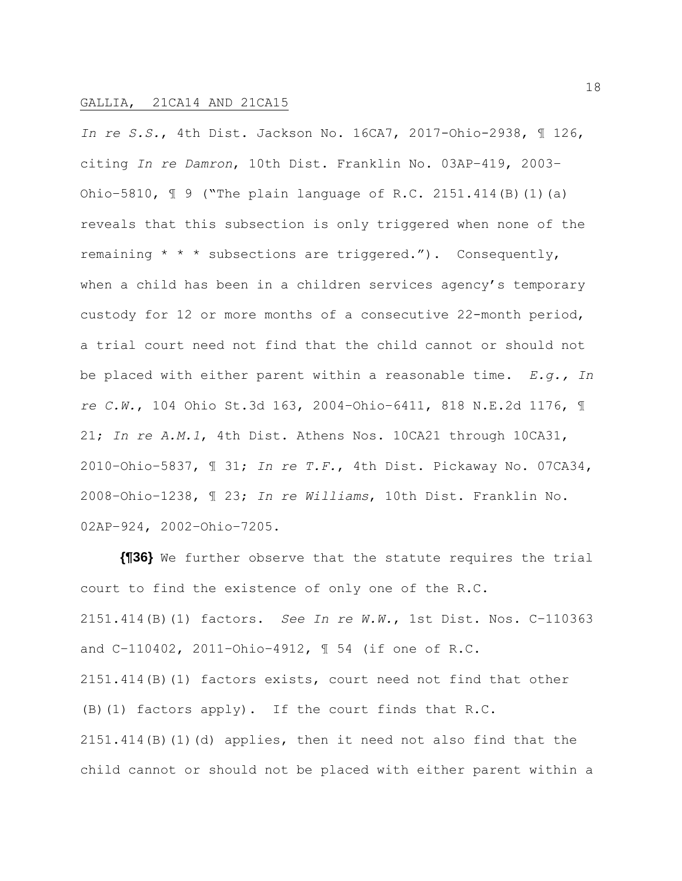*In re S.S.*, 4th Dist. Jackson No. 16CA7, 2017-Ohio-2938, ¶ 126, citing *In re Damron*, 10th Dist. Franklin No. 03AP–419, 2003– Ohio–5810, ¶ 9 ("The plain language of R.C. 2151.414(B)(1)(a) reveals that this subsection is only triggered when none of the remaining  $* * *$  subsections are triggered."). Consequently, when a child has been in a children services agency's temporary custody for 12 or more months of a consecutive 22-month period, a trial court need not find that the child cannot or should not be placed with either parent within a reasonable time. *E.g., In re C.W.*, 104 Ohio St.3d 163, 2004–Ohio–6411, 818 N.E.2d 1176, ¶ 21; *In re A.M.1*, 4th Dist. Athens Nos. 10CA21 through 10CA31, 2010–Ohio–5837, ¶ 31; *In re T.F.*, 4th Dist. Pickaway No. 07CA34, 2008–Ohio–1238, ¶ 23; *In re Williams*, 10th Dist. Franklin No. 02AP–924, 2002–Ohio–7205.

**{¶36}** We further observe that the statute requires the trial court to find the existence of only one of the R.C. 2151.414(B)(1) factors. *See In re W.W.*, 1st Dist. Nos. C–110363 and C–110402, 2011–Ohio–4912, ¶ 54 (if one of R.C. 2151.414(B)(1) factors exists, court need not find that other (B)(1) factors apply). If the court finds that R.C. 2151.414(B)(1)(d) applies, then it need not also find that the child cannot or should not be placed with either parent within a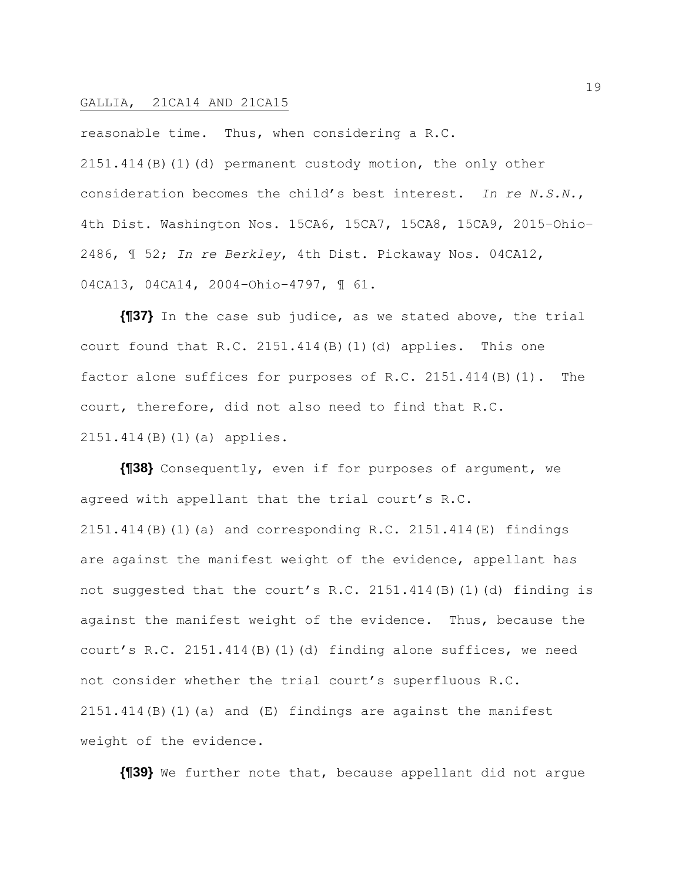reasonable time. Thus, when considering a R.C. 2151.414(B)(1)(d) permanent custody motion, the only other consideration becomes the child's best interest. *In re N.S.N.*, 4th Dist. Washington Nos. 15CA6, 15CA7, 15CA8, 15CA9, 2015–Ohio– 2486, ¶ 52; *In re Berkley*, 4th Dist. Pickaway Nos. 04CA12, 04CA13, 04CA14, 2004–Ohio–4797, ¶ 61.

**{¶37}** In the case sub judice, as we stated above, the trial court found that R.C.  $2151.414(B)(1)(d)$  applies. This one factor alone suffices for purposes of R.C. 2151.414(B)(1). The court, therefore, did not also need to find that R.C. 2151.414(B)(1)(a) applies.

**{¶38}** Consequently, even if for purposes of argument, we agreed with appellant that the trial court's R.C.  $2151.414(B)(1)(a)$  and corresponding R.C.  $2151.414(E)$  findings are against the manifest weight of the evidence, appellant has not suggested that the court's R.C. 2151.414(B)(1)(d) finding is against the manifest weight of the evidence. Thus, because the court's R.C. 2151.414(B)(1)(d) finding alone suffices, we need not consider whether the trial court's superfluous R.C.  $2151.414(B)(1)(a)$  and  $(E)$  findings are against the manifest weight of the evidence.

**{¶39}** We further note that, because appellant did not argue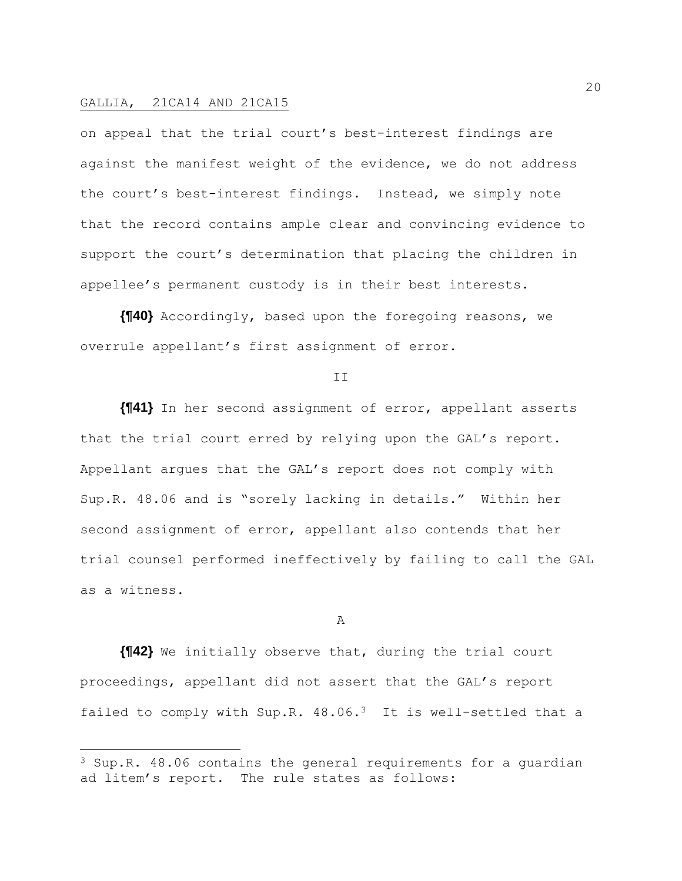on appeal that the trial court's best-interest findings are against the manifest weight of the evidence, we do not address the court's best-interest findings. Instead, we simply note that the record contains ample clear and convincing evidence to support the court's determination that placing the children in appellee's permanent custody is in their best interests.

**{¶40}** Accordingly, based upon the foregoing reasons, we overrule appellant's first assignment of error.

#### T<sub>T</sub>

**{¶41}** In her second assignment of error, appellant asserts that the trial court erred by relying upon the GAL's report. Appellant argues that the GAL's report does not comply with Sup.R. 48.06 and is "sorely lacking in details." Within her second assignment of error, appellant also contends that her trial counsel performed ineffectively by failing to call the GAL as a witness.

### A

**{¶42}** We initially observe that, during the trial court proceedings, appellant did not assert that the GAL's report failed to comply with Sup.R. 48.06.3 It is well-settled that a

<sup>&</sup>lt;sup>3</sup> Sup.R. 48.06 contains the general requirements for a guardian ad litem's report. The rule states as follows: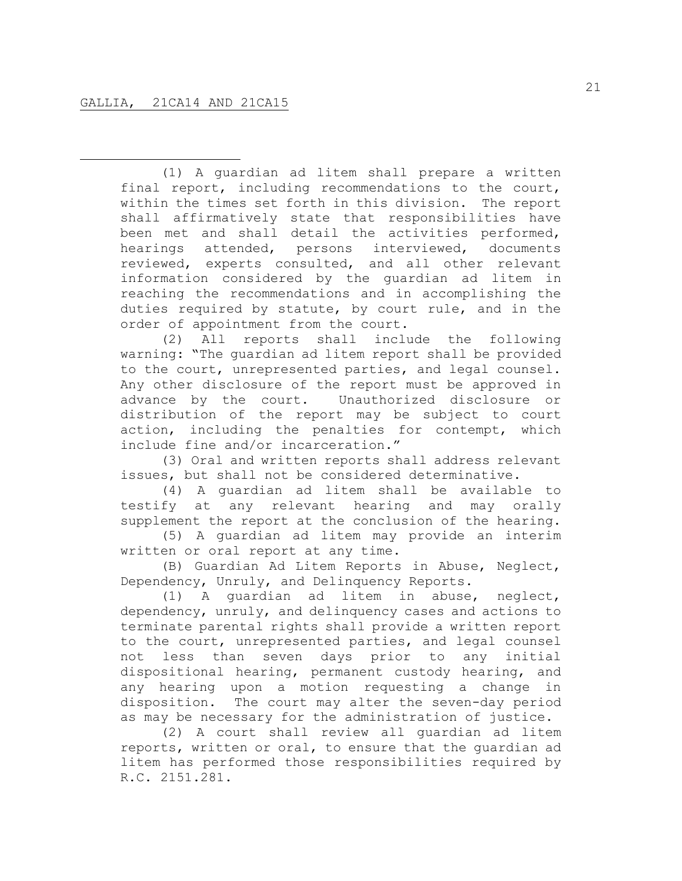(1) A guardian ad litem shall prepare a written final report, including recommendations to the court, within the times set forth in this division. The report shall affirmatively state that responsibilities have been met and shall detail the activities performed, hearings attended, persons interviewed, documents reviewed, experts consulted, and all other relevant information considered by the guardian ad litem in reaching the recommendations and in accomplishing the duties required by statute, by court rule, and in the order of appointment from the court.

(2) All reports shall include the following warning: "The guardian ad litem report shall be provided to the court, unrepresented parties, and legal counsel. Any other disclosure of the report must be approved in advance by the court. Unauthorized disclosure or distribution of the report may be subject to court action, including the penalties for contempt, which include fine and/or incarceration."

(3) Oral and written reports shall address relevant issues, but shall not be considered determinative.

(4) A guardian ad litem shall be available to testify at any relevant hearing and may orally supplement the report at the conclusion of the hearing.

(5) A guardian ad litem may provide an interim written or oral report at any time.

(B) Guardian Ad Litem Reports in Abuse, Neglect, Dependency, Unruly, and Delinquency Reports.

(1) A guardian ad litem in abuse, neglect, dependency, unruly, and delinquency cases and actions to terminate parental rights shall provide a written report to the court, unrepresented parties, and legal counsel not less than seven days prior to any initial dispositional hearing, permanent custody hearing, and any hearing upon a motion requesting a change in disposition. The court may alter the seven-day period as may be necessary for the administration of justice.

(2) A court shall review all guardian ad litem reports, written or oral, to ensure that the guardian ad litem has performed those responsibilities required by R.C. 2151.281.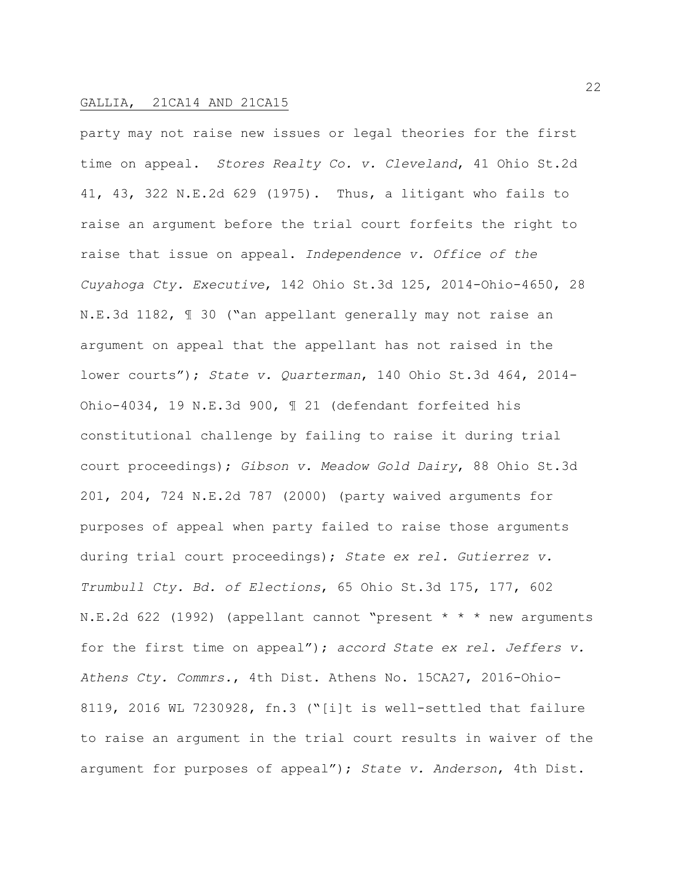party may not raise new issues or legal theories for the first time on appeal. *Stores Realty Co. v. Cleveland*, 41 Ohio St.2d 41, 43, 322 N.E.2d 629 (1975). Thus, a litigant who fails to raise an argument before the trial court forfeits the right to raise that issue on appeal. *Independence v. Office of the Cuyahoga Cty. Executive*, 142 Ohio St.3d 125, 2014-Ohio-4650, 28 N.E.3d 1182, ¶ 30 ("an appellant generally may not raise an argument on appeal that the appellant has not raised in the lower courts"); *State v. Quarterman*, 140 Ohio St.3d 464, 2014- Ohio-4034, 19 N.E.3d 900, ¶ 21 (defendant forfeited his constitutional challenge by failing to raise it during trial court proceedings); *Gibson v. Meadow Gold Dairy*, 88 Ohio St.3d 201, 204, 724 N.E.2d 787 (2000) (party waived arguments for purposes of appeal when party failed to raise those arguments during trial court proceedings); *State ex rel. Gutierrez v. Trumbull Cty. Bd. of Elections*, 65 Ohio St.3d 175, 177, 602 N.E.2d 622 (1992) (appellant cannot "present \* \* \* new arguments for the first time on appeal"); *accord State ex rel. Jeffers v. Athens Cty. Commrs.*, 4th Dist. Athens No. 15CA27, 2016-Ohio-8119, 2016 WL 7230928, fn.3 ("[i]t is well-settled that failure to raise an argument in the trial court results in waiver of the argument for purposes of appeal"); *State v. Anderson*, 4th Dist.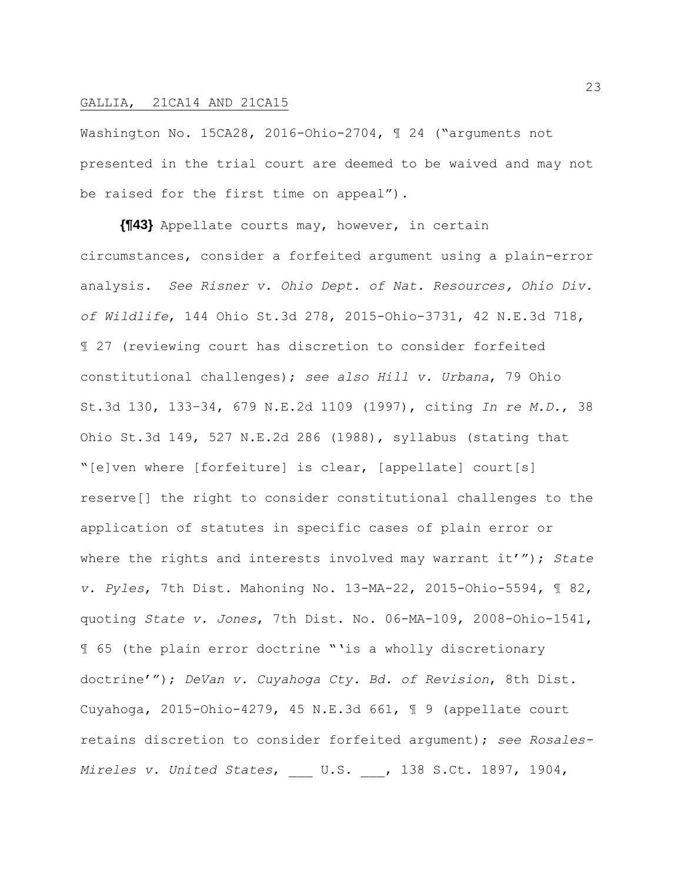Washington No. 15CA28, 2016-Ohio-2704, ¶ 24 ("arguments not presented in the trial court are deemed to be waived and may not be raised for the first time on appeal").

**{¶43}** Appellate courts may, however, in certain circumstances, consider a forfeited argument using a plain-error analysis. *See Risner v. Ohio Dept. of Nat. Resources, Ohio Div. of Wildlife*, 144 Ohio St.3d 278, 2015-Ohio-3731, 42 N.E.3d 718, ¶ 27 (reviewing court has discretion to consider forfeited constitutional challenges); *see also Hill v. Urbana*, 79 Ohio St.3d 130, 133–34, 679 N.E.2d 1109 (1997), citing *In re M.D.*, 38 Ohio St.3d 149, 527 N.E.2d 286 (1988), syllabus (stating that "[e]ven where [forfeiture] is clear, [appellate] court[s] reserve[] the right to consider constitutional challenges to the application of statutes in specific cases of plain error or where the rights and interests involved may warrant it'"); *State v. Pyles*, 7th Dist. Mahoning No. 13-MA-22, 2015-Ohio-5594, ¶ 82, quoting *State v. Jones*, 7th Dist. No. 06-MA-109, 2008-Ohio-1541, ¶ 65 (the plain error doctrine "'is a wholly discretionary doctrine'"); *DeVan v. Cuyahoga Cty. Bd. of Revision*, 8th Dist. Cuyahoga, 2015-Ohio-4279, 45 N.E.3d 661, ¶ 9 (appellate court retains discretion to consider forfeited argument); *see Rosales-Mireles v. United States*, \_\_\_ U.S. \_\_\_, 138 S.Ct. 1897, 1904,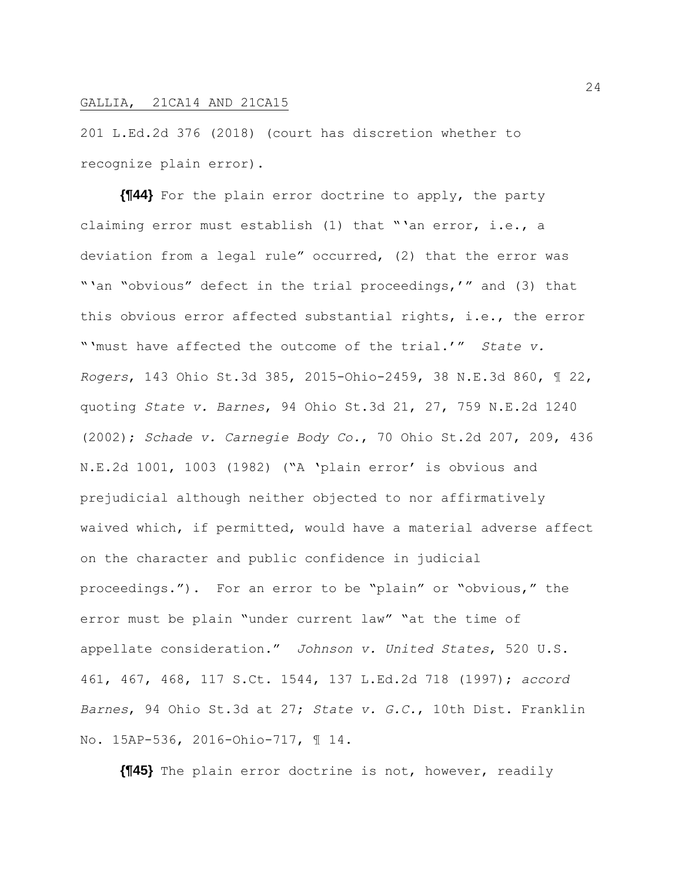201 L.Ed.2d 376 (2018) (court has discretion whether to recognize plain error).

**{¶44}** For the plain error doctrine to apply, the party claiming error must establish (1) that "'an error, i.e., a deviation from a legal rule" occurred, (2) that the error was "'an "obvious" defect in the trial proceedings,'" and (3) that this obvious error affected substantial rights, i.e., the error "'must have affected the outcome of the trial.'" *State v. Rogers*, 143 Ohio St.3d 385, 2015-Ohio-2459, 38 N.E.3d 860, ¶ 22, quoting *State v. Barnes*, 94 Ohio St.3d 21, 27, 759 N.E.2d 1240 (2002); *Schade v. Carnegie Body Co.*, 70 Ohio St.2d 207, 209, 436 N.E.2d 1001, 1003 (1982) ("A 'plain error' is obvious and prejudicial although neither objected to nor affirmatively waived which, if permitted, would have a material adverse affect on the character and public confidence in judicial proceedings."). For an error to be "plain" or "obvious," the error must be plain "under current law" "at the time of appellate consideration." *Johnson v. United States*, 520 U.S. 461, 467, 468, 117 S.Ct. 1544, 137 L.Ed.2d 718 (1997); *accord Barnes*, 94 Ohio St.3d at 27; *State v. G.C.*, 10th Dist. Franklin No. 15AP-536, 2016-Ohio-717, ¶ 14.

**{¶45}** The plain error doctrine is not, however, readily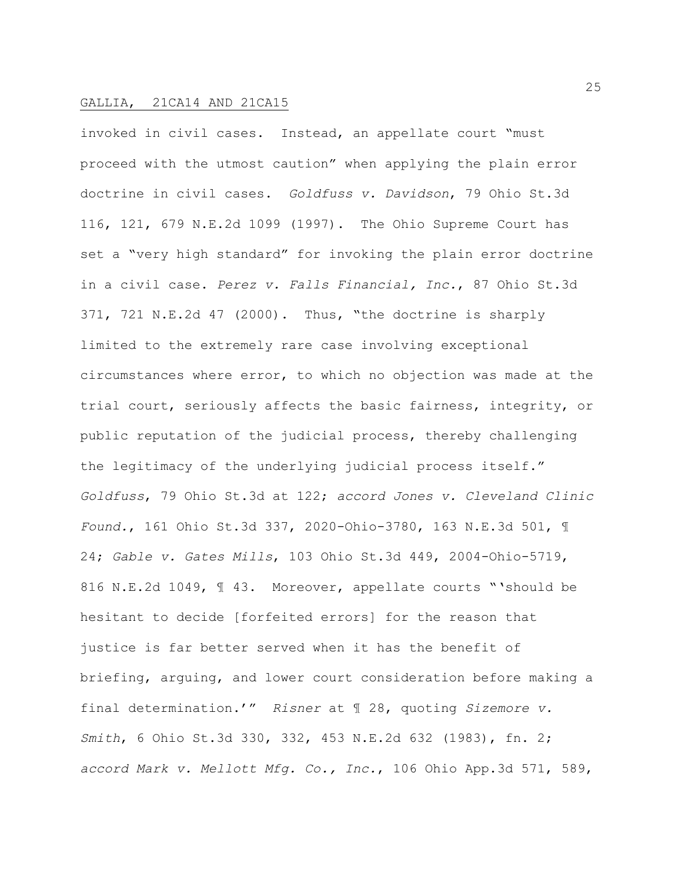invoked in civil cases. Instead, an appellate court "must proceed with the utmost caution" when applying the plain error doctrine in civil cases. *Goldfuss v. Davidson*, 79 Ohio St.3d 116, 121, 679 N.E.2d 1099 (1997). The Ohio Supreme Court has set a "very high standard" for invoking the plain error doctrine in a civil case. *Perez v. Falls Financial, Inc.*, 87 Ohio St.3d 371, 721 N.E.2d 47 (2000). Thus, "the doctrine is sharply limited to the extremely rare case involving exceptional circumstances where error, to which no objection was made at the trial court, seriously affects the basic fairness, integrity, or public reputation of the judicial process, thereby challenging the legitimacy of the underlying judicial process itself." *Goldfuss*, 79 Ohio St.3d at 122; *accord Jones v. Cleveland Clinic Found.*, 161 Ohio St.3d 337, 2020-Ohio-3780, 163 N.E.3d 501, ¶ 24; *Gable v. Gates Mills*, 103 Ohio St.3d 449, 2004-Ohio-5719, 816 N.E.2d 1049, ¶ 43. Moreover, appellate courts "'should be hesitant to decide [forfeited errors] for the reason that justice is far better served when it has the benefit of briefing, arguing, and lower court consideration before making a final determination.'" *Risner* at ¶ 28, quoting *Sizemore v. Smith*, 6 Ohio St.3d 330, 332, 453 N.E.2d 632 (1983), fn. 2; *accord Mark v. Mellott Mfg. Co., Inc.*, 106 Ohio App.3d 571, 589,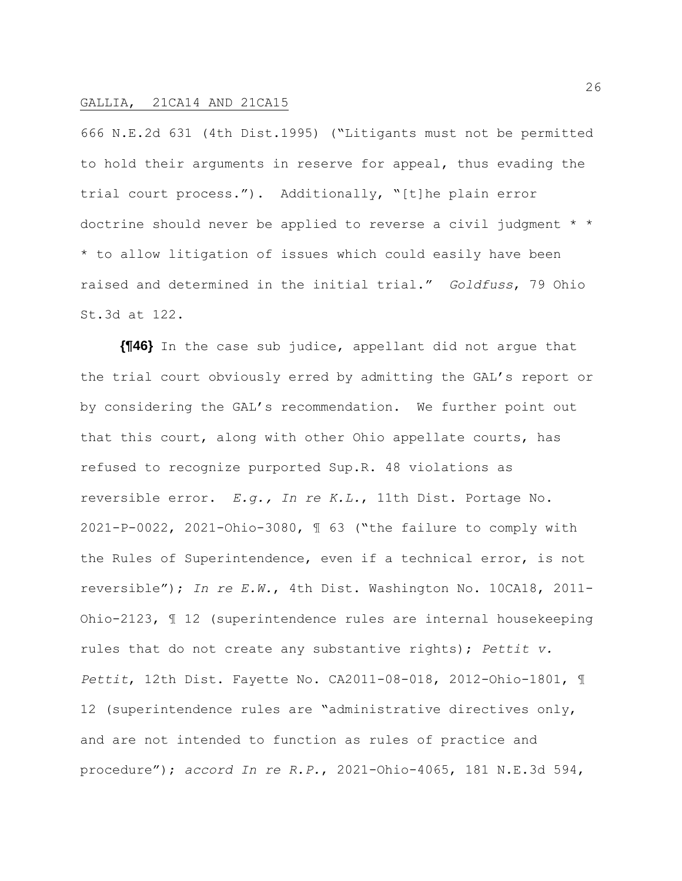666 N.E.2d 631 (4th Dist.1995) ("Litigants must not be permitted to hold their arguments in reserve for appeal, thus evading the trial court process."). Additionally, "[t]he plain error doctrine should never be applied to reverse a civil judgment \* \* \* to allow litigation of issues which could easily have been raised and determined in the initial trial." *Goldfuss*, 79 Ohio St.3d at 122.

**{¶46}** In the case sub judice, appellant did not argue that the trial court obviously erred by admitting the GAL's report or by considering the GAL's recommendation. We further point out that this court, along with other Ohio appellate courts, has refused to recognize purported Sup.R. 48 violations as reversible error. *E.g., In re K.L.*, 11th Dist. Portage No. 2021-P-0022, 2021-Ohio-3080, ¶ 63 ("the failure to comply with the Rules of Superintendence, even if a technical error, is not reversible"); *In re E.W.*, 4th Dist. Washington No. 10CA18, 2011- Ohio-2123, ¶ 12 (superintendence rules are internal housekeeping rules that do not create any substantive rights); *Pettit v. Pettit*, 12th Dist. Fayette No. CA2011-08-018, 2012-Ohio-1801, ¶ 12 (superintendence rules are "administrative directives only, and are not intended to function as rules of practice and procedure"); *accord In re R.P.*, 2021-Ohio-4065, 181 N.E.3d 594,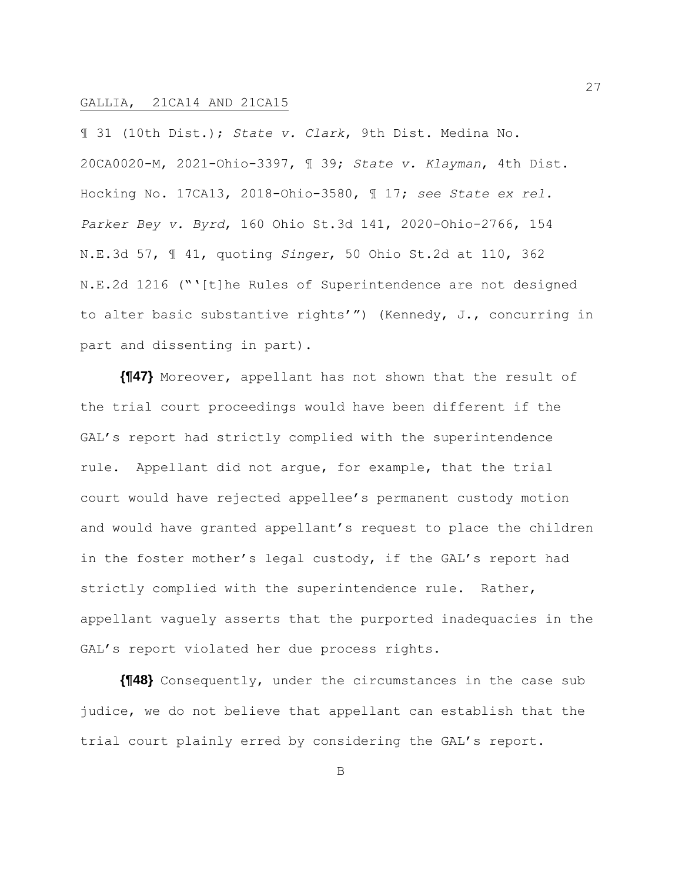¶ 31 (10th Dist.); *State v. Clark*, 9th Dist. Medina No. 20CA0020-M, 2021-Ohio-3397, ¶ 39; *State v. Klayman*, 4th Dist. Hocking No. 17CA13, 2018-Ohio-3580, ¶ 17; *see State ex rel. Parker Bey v. Byrd*, 160 Ohio St.3d 141, 2020-Ohio-2766, 154 N.E.3d 57, ¶ 41, quoting *Singer*, 50 Ohio St.2d at 110, 362 N.E.2d 1216 ("'[t]he Rules of Superintendence are not designed to alter basic substantive rights'") (Kennedy, J., concurring in part and dissenting in part).

**{¶47}** Moreover, appellant has not shown that the result of the trial court proceedings would have been different if the GAL's report had strictly complied with the superintendence rule. Appellant did not argue, for example, that the trial court would have rejected appellee's permanent custody motion and would have granted appellant's request to place the children in the foster mother's legal custody, if the GAL's report had strictly complied with the superintendence rule. Rather, appellant vaguely asserts that the purported inadequacies in the GAL's report violated her due process rights.

**{¶48}** Consequently, under the circumstances in the case sub judice, we do not believe that appellant can establish that the trial court plainly erred by considering the GAL's report.

B

27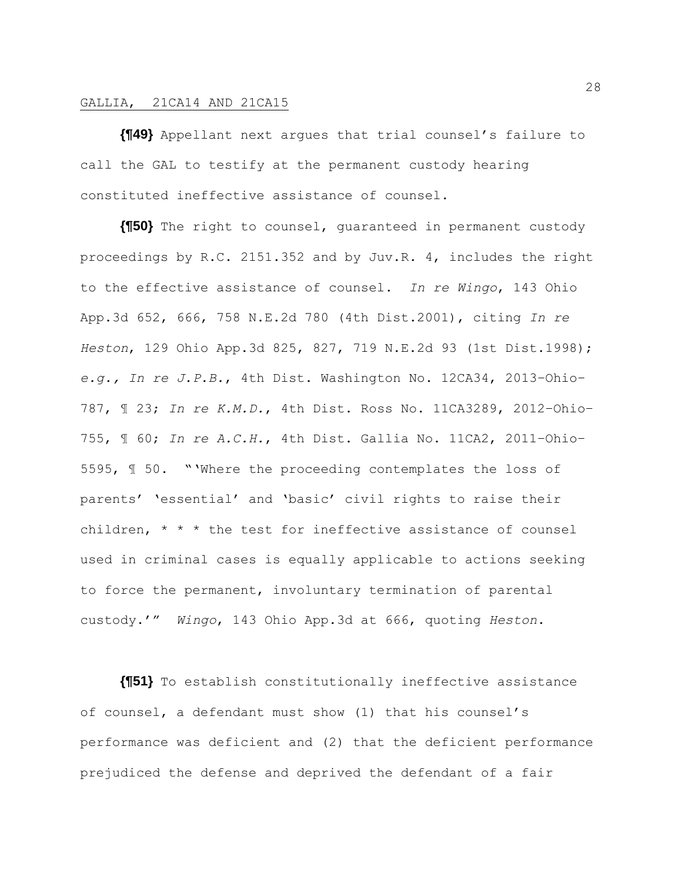**{¶49}** Appellant next argues that trial counsel's failure to call the GAL to testify at the permanent custody hearing constituted ineffective assistance of counsel.

**{¶50}** The right to counsel, guaranteed in permanent custody proceedings by R.C. 2151.352 and by Juv.R. 4, includes the right to the effective assistance of counsel. *In re Wingo*, 143 Ohio App.3d 652, 666, 758 N.E.2d 780 (4th Dist.2001), citing *In re Heston*, 129 Ohio App.3d 825, 827, 719 N.E.2d 93 (1st Dist.1998); *e.g., In re J.P.B.*, 4th Dist. Washington No. 12CA34, 2013–Ohio– 787, ¶ 23; *In re K.M.D.*, 4th Dist. Ross No. 11CA3289, 2012–Ohio– 755, ¶ 60; *In re A.C.H.*, 4th Dist. Gallia No. 11CA2, 2011–Ohio– 5595, ¶ 50. "'Where the proceeding contemplates the loss of parents' 'essential' and 'basic' civil rights to raise their children,  $* * *$  the test for ineffective assistance of counsel used in criminal cases is equally applicable to actions seeking to force the permanent, involuntary termination of parental custody.'" *Wingo*, 143 Ohio App.3d at 666, quoting *Heston*.

**{¶51}** To establish constitutionally ineffective assistance of counsel, a defendant must show (1) that his counsel's performance was deficient and (2) that the deficient performance prejudiced the defense and deprived the defendant of a fair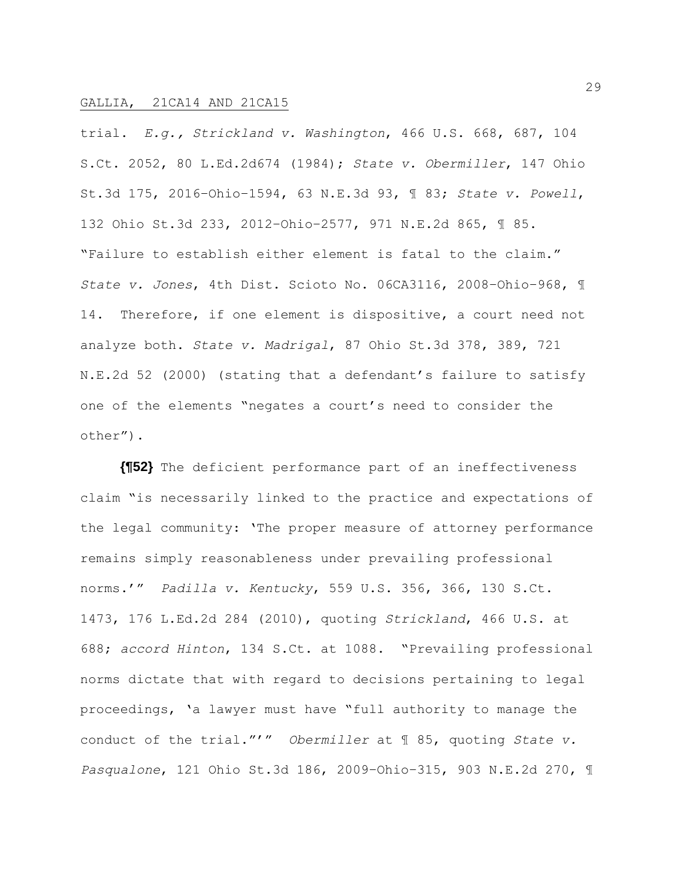trial. *E.g., Strickland v. Washington*, 466 U.S. 668, 687, 104 S.Ct. 2052, 80 L.Ed.2d674 (1984); *State v. Obermiller*, 147 Ohio St.3d 175, 2016–Ohio–1594, 63 N.E.3d 93, ¶ 83; *State v. Powell*, 132 Ohio St.3d 233, 2012–Ohio–2577, 971 N.E.2d 865, ¶ 85. "Failure to establish either element is fatal to the claim." *State v. Jones*, 4th Dist. Scioto No. 06CA3116, 2008–Ohio–968, ¶ 14. Therefore, if one element is dispositive, a court need not analyze both. *State v. Madrigal*, 87 Ohio St.3d 378, 389, 721 N.E.2d 52 (2000) (stating that a defendant's failure to satisfy one of the elements "negates a court's need to consider the other").

**{¶52}** The deficient performance part of an ineffectiveness claim "is necessarily linked to the practice and expectations of the legal community: 'The proper measure of attorney performance remains simply reasonableness under prevailing professional norms.'" *Padilla v. Kentucky*, 559 U.S. 356, 366, 130 S.Ct. 1473, 176 L.Ed.2d 284 (2010), quoting *Strickland*, 466 U.S. at 688; *accord Hinton*, 134 S.Ct. at 1088. "Prevailing professional norms dictate that with regard to decisions pertaining to legal proceedings, 'a lawyer must have "full authority to manage the conduct of the trial."'" *Obermiller* at ¶ 85, quoting *State v. Pasqualone*, 121 Ohio St.3d 186, 2009–Ohio–315, 903 N.E.2d 270, ¶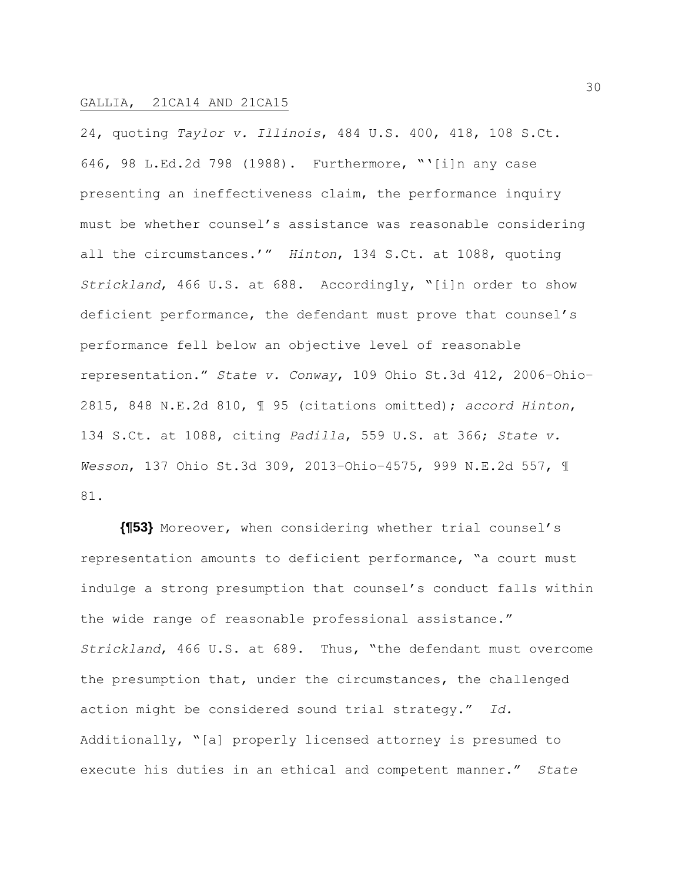24, quoting *Taylor v. Illinois*, 484 U.S. 400, 418, 108 S.Ct. 646, 98 L.Ed.2d 798 (1988). Furthermore, "'[i]n any case presenting an ineffectiveness claim, the performance inquiry must be whether counsel's assistance was reasonable considering all the circumstances.'" *Hinton*, 134 S.Ct. at 1088, quoting *Strickland*, 466 U.S. at 688. Accordingly, "[i]n order to show deficient performance, the defendant must prove that counsel's performance fell below an objective level of reasonable representation." *State v. Conway*, 109 Ohio St.3d 412, 2006–Ohio– 2815, 848 N.E.2d 810, ¶ 95 (citations omitted); *accord Hinton*, 134 S.Ct. at 1088, citing *Padilla*, 559 U.S. at 366; *State v. Wesson*, 137 Ohio St.3d 309, 2013–Ohio–4575, 999 N.E.2d 557, ¶ 81.

**{¶53}** Moreover, when considering whether trial counsel's representation amounts to deficient performance, "a court must indulge a strong presumption that counsel's conduct falls within the wide range of reasonable professional assistance." *Strickland*, 466 U.S. at 689. Thus, "the defendant must overcome the presumption that, under the circumstances, the challenged action might be considered sound trial strategy." *Id.* Additionally, "[a] properly licensed attorney is presumed to execute his duties in an ethical and competent manner." *State*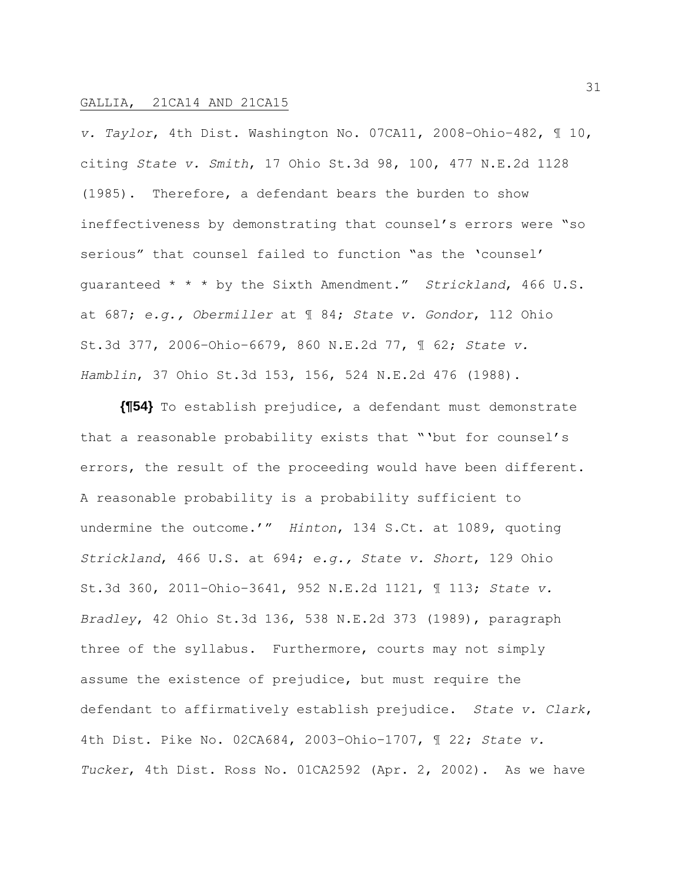*v. Taylor*, 4th Dist. Washington No. 07CA11, 2008–Ohio–482, ¶ 10, citing *State v. Smith*, 17 Ohio St.3d 98, 100, 477 N.E.2d 1128 (1985). Therefore, a defendant bears the burden to show ineffectiveness by demonstrating that counsel's errors were "so serious" that counsel failed to function "as the 'counsel' guaranteed \* \* \* by the Sixth Amendment." *Strickland*, 466 U.S. at 687; *e.g., Obermiller* at ¶ 84; *State v. Gondor*, 112 Ohio St.3d 377, 2006–Ohio–6679, 860 N.E.2d 77, ¶ 62; *State v. Hamblin*, 37 Ohio St.3d 153, 156, 524 N.E.2d 476 (1988).

**{¶54}** To establish prejudice, a defendant must demonstrate that a reasonable probability exists that "'but for counsel's errors, the result of the proceeding would have been different. A reasonable probability is a probability sufficient to undermine the outcome.'" *Hinton*, 134 S.Ct. at 1089, quoting *Strickland*, 466 U.S. at 694; *e.g., State v. Short*, 129 Ohio St.3d 360, 2011–Ohio–3641, 952 N.E.2d 1121, ¶ 113; *State v. Bradley*, 42 Ohio St.3d 136, 538 N.E.2d 373 (1989), paragraph three of the syllabus. Furthermore, courts may not simply assume the existence of prejudice, but must require the defendant to affirmatively establish prejudice. *State v. Clark*, 4th Dist. Pike No. 02CA684, 2003–Ohio–1707, ¶ 22; *State v. Tucker*, 4th Dist. Ross No. 01CA2592 (Apr. 2, 2002). As we have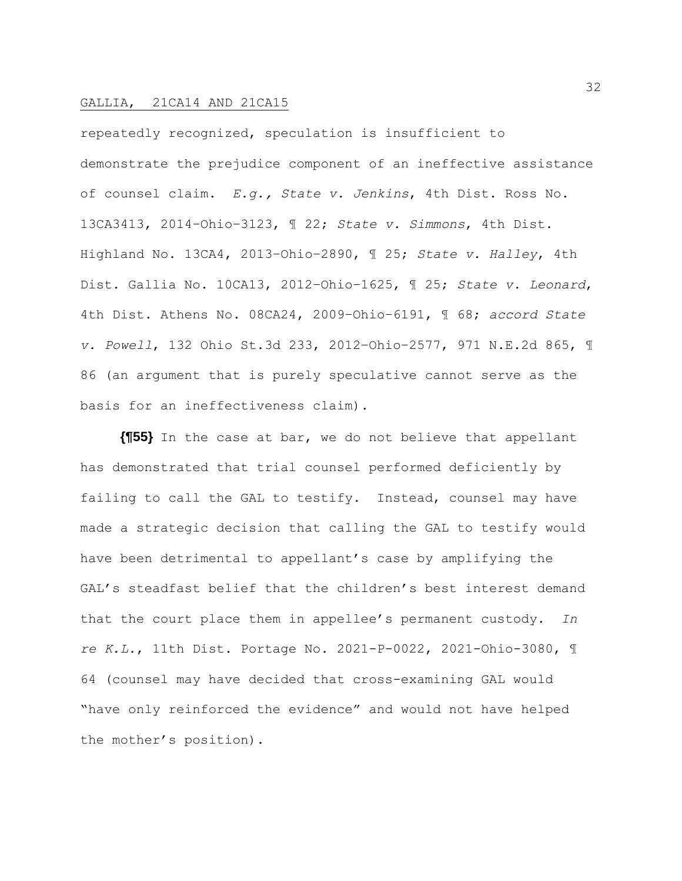repeatedly recognized, speculation is insufficient to demonstrate the prejudice component of an ineffective assistance of counsel claim. *E.g., State v. Jenkins*, 4th Dist. Ross No. 13CA3413, 2014–Ohio–3123, ¶ 22; *State v. Simmons*, 4th Dist. Highland No. 13CA4, 2013–Ohio–2890, ¶ 25; *State v. Halley*, 4th Dist. Gallia No. 10CA13, 2012–Ohio–1625, ¶ 25; *State v. Leonard*, 4th Dist. Athens No. 08CA24, 2009–Ohio–6191, ¶ 68; *accord State v. Powell*, 132 Ohio St.3d 233, 2012–Ohio–2577, 971 N.E.2d 865, ¶ 86 (an argument that is purely speculative cannot serve as the basis for an ineffectiveness claim).

**{¶55}** In the case at bar, we do not believe that appellant has demonstrated that trial counsel performed deficiently by failing to call the GAL to testify. Instead, counsel may have made a strategic decision that calling the GAL to testify would have been detrimental to appellant's case by amplifying the GAL's steadfast belief that the children's best interest demand that the court place them in appellee's permanent custody. *In re K.L.*, 11th Dist. Portage No. 2021-P-0022, 2021-Ohio-3080, ¶ 64 (counsel may have decided that cross-examining GAL would "have only reinforced the evidence" and would not have helped the mother's position).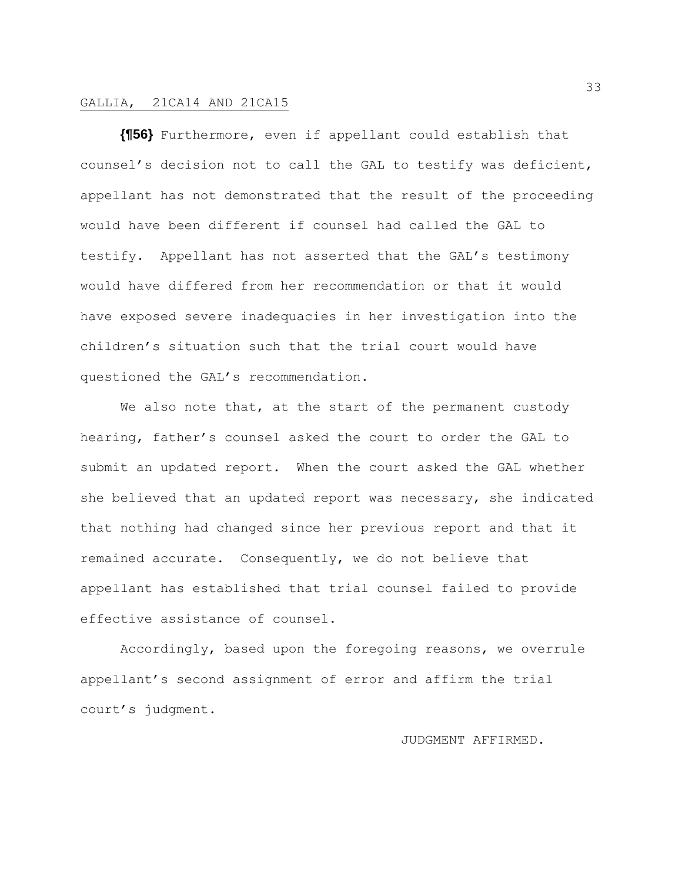**{¶56}** Furthermore, even if appellant could establish that counsel's decision not to call the GAL to testify was deficient, appellant has not demonstrated that the result of the proceeding would have been different if counsel had called the GAL to testify. Appellant has not asserted that the GAL's testimony would have differed from her recommendation or that it would have exposed severe inadequacies in her investigation into the children's situation such that the trial court would have questioned the GAL's recommendation.

We also note that, at the start of the permanent custody hearing, father's counsel asked the court to order the GAL to submit an updated report. When the court asked the GAL whether she believed that an updated report was necessary, she indicated that nothing had changed since her previous report and that it remained accurate. Consequently, we do not believe that appellant has established that trial counsel failed to provide effective assistance of counsel.

Accordingly, based upon the foregoing reasons, we overrule appellant's second assignment of error and affirm the trial court's judgment.

JUDGMENT AFFIRMED.